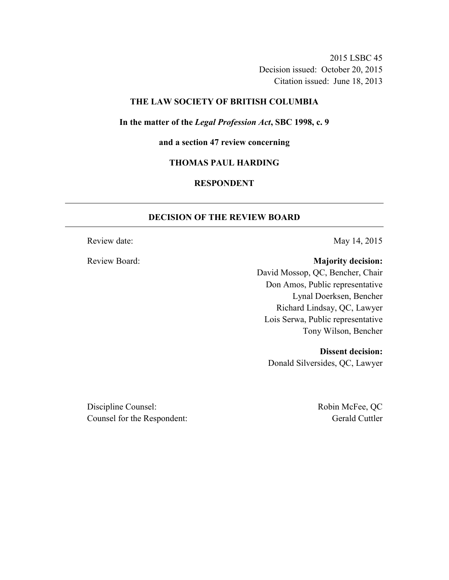2015 LSBC 45 Decision issued: October 20, 2015 Citation issued: June 18, 2013

#### **THE LAW SOCIETY OF BRITISH COLUMBIA**

**In the matter of the** *Legal Profession Act***, SBC 1998, c. 9** 

**and a section 47 review concerning** 

# **THOMAS PAUL HARDING**

# **RESPONDENT**

## **DECISION OF THE REVIEW BOARD**

Review date: May 14, 2015

Review Board: **Majority decision:**

David Mossop, QC, Bencher, Chair Don Amos, Public representative Lynal Doerksen, Bencher Richard Lindsay, QC, Lawyer Lois Serwa, Public representative Tony Wilson, Bencher

**Dissent decision:** 

Donald Silversides, QC, Lawyer

Discipline Counsel: Robin McFee, QC Counsel for the Respondent: Gerald Cuttler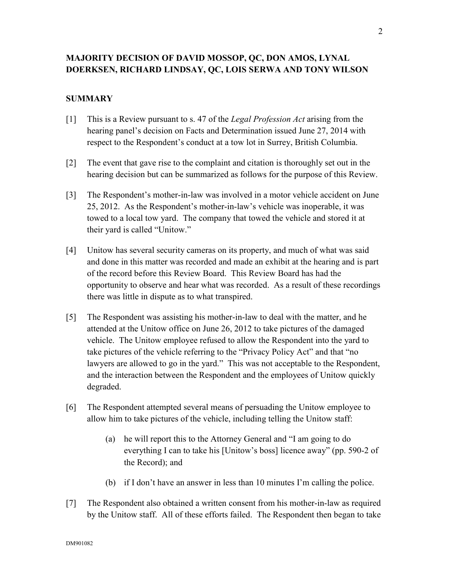# **MAJORITY DECISION OF DAVID MOSSOP, QC, DON AMOS, LYNAL DOERKSEN, RICHARD LINDSAY, QC, LOIS SERWA AND TONY WILSON**

# **SUMMARY**

- [1] This is a Review pursuant to s. 47 of the *Legal Profession Act* arising from the hearing panel's decision on Facts and Determination issued June 27, 2014 with respect to the Respondent's conduct at a tow lot in Surrey, British Columbia.
- [2] The event that gave rise to the complaint and citation is thoroughly set out in the hearing decision but can be summarized as follows for the purpose of this Review.
- [3] The Respondent's mother-in-law was involved in a motor vehicle accident on June 25, 2012. As the Respondent's mother-in-law's vehicle was inoperable, it was towed to a local tow yard. The company that towed the vehicle and stored it at their yard is called "Unitow."
- [4] Unitow has several security cameras on its property, and much of what was said and done in this matter was recorded and made an exhibit at the hearing and is part of the record before this Review Board. This Review Board has had the opportunity to observe and hear what was recorded. As a result of these recordings there was little in dispute as to what transpired.
- [5] The Respondent was assisting his mother-in-law to deal with the matter, and he attended at the Unitow office on June 26, 2012 to take pictures of the damaged vehicle. The Unitow employee refused to allow the Respondent into the yard to take pictures of the vehicle referring to the "Privacy Policy Act" and that "no lawyers are allowed to go in the yard." This was not acceptable to the Respondent, and the interaction between the Respondent and the employees of Unitow quickly degraded.
- [6] The Respondent attempted several means of persuading the Unitow employee to allow him to take pictures of the vehicle, including telling the Unitow staff:
	- (a) he will report this to the Attorney General and "I am going to do everything I can to take his [Unitow's boss] licence away" (pp. 590-2 of the Record); and
	- (b) if I don't have an answer in less than 10 minutes I'm calling the police.
- [7] The Respondent also obtained a written consent from his mother-in-law as required by the Unitow staff. All of these efforts failed. The Respondent then began to take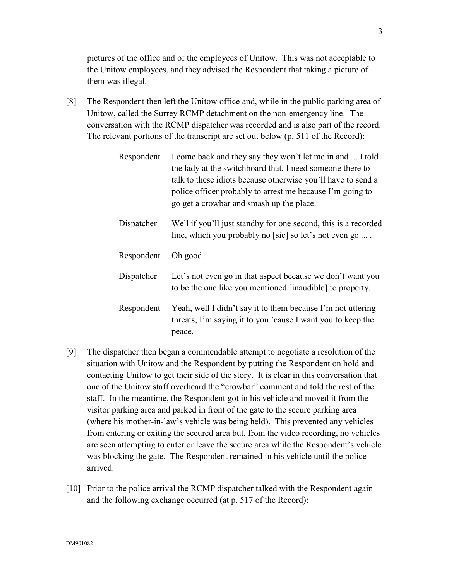pictures of the office and of the employees of Unitow. This was not acceptable to the Unitow employees, and they advised the Respondent that taking a picture of them was illegal.

[8] The Respondent then left the Unitow office and, while in the public parking area of Unitow, called the Surrey RCMP detachment on the non-emergency line. The conversation with the RCMP dispatcher was recorded and is also part of the record. The relevant portions of the transcript are set out below (p. 511 of the Record):

| Respondent | I come back and they say they won't let me in and  I told<br>the lady at the switchboard that, I need someone there to<br>talk to these idiots because otherwise you'll have to send a<br>police officer probably to arrest me because I'm going to<br>go get a crowbar and smash up the place. |
|------------|-------------------------------------------------------------------------------------------------------------------------------------------------------------------------------------------------------------------------------------------------------------------------------------------------|
| Dispatcher | Well if you'll just standby for one second, this is a recorded<br>line, which you probably no [sic] so let's not even go                                                                                                                                                                        |
| Respondent | Oh good.                                                                                                                                                                                                                                                                                        |
| Dispatcher | Let's not even go in that aspect because we don't want you<br>to be the one like you mentioned [inaudible] to property.                                                                                                                                                                         |
| Respondent | Yeah, well I didn't say it to them because I'm not uttering<br>threats, I'm saying it to you 'cause I want you to keep the<br>peace.                                                                                                                                                            |

- [9] The dispatcher then began a commendable attempt to negotiate a resolution of the situation with Unitow and the Respondent by putting the Respondent on hold and contacting Unitow to get their side of the story. It is clear in this conversation that one of the Unitow staff overheard the "crowbar" comment and told the rest of the staff. In the meantime, the Respondent got in his vehicle and moved it from the visitor parking area and parked in front of the gate to the secure parking area (where his mother-in-law's vehicle was being held). This prevented any vehicles from entering or exiting the secured area but, from the video recording, no vehicles are seen attempting to enter or leave the secure area while the Respondent's vehicle was blocking the gate. The Respondent remained in his vehicle until the police arrived.
- [10] Prior to the police arrival the RCMP dispatcher talked with the Respondent again and the following exchange occurred (at p. 517 of the Record):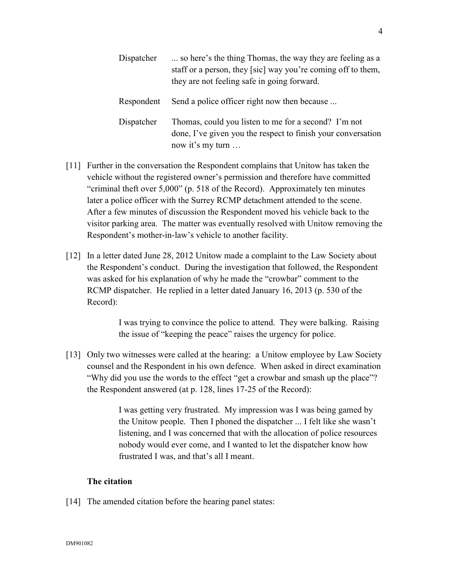| Dispatcher | so here's the thing Thomas, the way they are feeling as a<br>staff or a person, they [sic] way you're coming off to them,<br>they are not feeling safe in going forward. |
|------------|--------------------------------------------------------------------------------------------------------------------------------------------------------------------------|
| Respondent | Send a police officer right now then because                                                                                                                             |
| Dispatcher | Thomas, could you listen to me for a second? I'm not<br>done, I've given you the respect to finish your conversation<br>now it's my turn                                 |

- [11] Further in the conversation the Respondent complains that Unitow has taken the vehicle without the registered owner's permission and therefore have committed "criminal theft over 5,000" (p. 518 of the Record). Approximately ten minutes later a police officer with the Surrey RCMP detachment attended to the scene. After a few minutes of discussion the Respondent moved his vehicle back to the visitor parking area. The matter was eventually resolved with Unitow removing the Respondent's mother-in-law's vehicle to another facility.
- [12] In a letter dated June 28, 2012 Unitow made a complaint to the Law Society about the Respondent's conduct. During the investigation that followed, the Respondent was asked for his explanation of why he made the "crowbar" comment to the RCMP dispatcher. He replied in a letter dated January 16, 2013 (p. 530 of the Record):

I was trying to convince the police to attend. They were balking. Raising the issue of "keeping the peace" raises the urgency for police.

[13] Only two witnesses were called at the hearing: a Unitow employee by Law Society counsel and the Respondent in his own defence. When asked in direct examination "Why did you use the words to the effect "get a crowbar and smash up the place"? the Respondent answered (at p. 128, lines 17-25 of the Record):

> I was getting very frustrated. My impression was I was being gamed by the Unitow people. Then I phoned the dispatcher ... I felt like she wasn't listening, and I was concerned that with the allocation of police resources nobody would ever come, and I wanted to let the dispatcher know how frustrated I was, and that's all I meant.

## **The citation**

[14] The amended citation before the hearing panel states: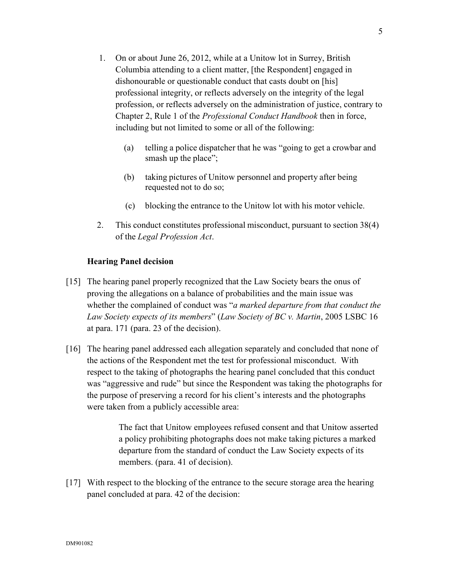- 1. On or about June 26, 2012, while at a Unitow lot in Surrey, British Columbia attending to a client matter, [the Respondent] engaged in dishonourable or questionable conduct that casts doubt on [his] professional integrity, or reflects adversely on the integrity of the legal profession, or reflects adversely on the administration of justice, contrary to Chapter 2, Rule 1 of the *Professional Conduct Handbook* then in force, including but not limited to some or all of the following:
	- (a) telling a police dispatcher that he was "going to get a crowbar and smash up the place";
	- (b) taking pictures of Unitow personnel and property after being requested not to do so;
	- (c) blocking the entrance to the Unitow lot with his motor vehicle.
- 2. This conduct constitutes professional misconduct, pursuant to section 38(4) of the *Legal Profession Act*.

# **Hearing Panel decision**

- [15] The hearing panel properly recognized that the Law Society bears the onus of proving the allegations on a balance of probabilities and the main issue was whether the complained of conduct was "*a marked departure from that conduct the Law Society expects of its members*" (*Law Society of BC v. Martin*, 2005 LSBC 16 at para. 171 (para. 23 of the decision).
- [16] The hearing panel addressed each allegation separately and concluded that none of the actions of the Respondent met the test for professional misconduct. With respect to the taking of photographs the hearing panel concluded that this conduct was "aggressive and rude" but since the Respondent was taking the photographs for the purpose of preserving a record for his client's interests and the photographs were taken from a publicly accessible area:

The fact that Unitow employees refused consent and that Unitow asserted a policy prohibiting photographs does not make taking pictures a marked departure from the standard of conduct the Law Society expects of its members. (para. 41 of decision).

[17] With respect to the blocking of the entrance to the secure storage area the hearing panel concluded at para. 42 of the decision: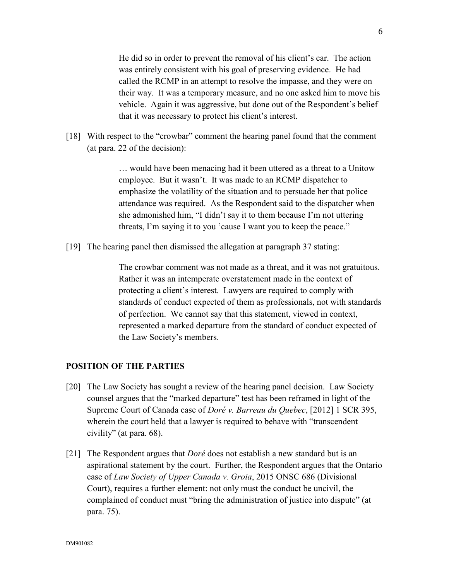He did so in order to prevent the removal of his client's car. The action was entirely consistent with his goal of preserving evidence. He had called the RCMP in an attempt to resolve the impasse, and they were on their way. It was a temporary measure, and no one asked him to move his vehicle. Again it was aggressive, but done out of the Respondent's belief that it was necessary to protect his client's interest.

[18] With respect to the "crowbar" comment the hearing panel found that the comment (at para. 22 of the decision):

> … would have been menacing had it been uttered as a threat to a Unitow employee. But it wasn't. It was made to an RCMP dispatcher to emphasize the volatility of the situation and to persuade her that police attendance was required. As the Respondent said to the dispatcher when she admonished him, "I didn't say it to them because I'm not uttering threats, I'm saying it to you 'cause I want you to keep the peace."

[19] The hearing panel then dismissed the allegation at paragraph 37 stating:

The crowbar comment was not made as a threat, and it was not gratuitous. Rather it was an intemperate overstatement made in the context of protecting a client's interest. Lawyers are required to comply with standards of conduct expected of them as professionals, not with standards of perfection. We cannot say that this statement, viewed in context, represented a marked departure from the standard of conduct expected of the Law Society's members.

#### **POSITION OF THE PARTIES**

- [20] The Law Society has sought a review of the hearing panel decision. Law Society counsel argues that the "marked departure" test has been reframed in light of the Supreme Court of Canada case of *Doré v. Barreau du Quebec*, [2012] 1 SCR 395, wherein the court held that a lawyer is required to behave with "transcendent civility" (at para. 68).
- [21] The Respondent argues that *Doré* does not establish a new standard but is an aspirational statement by the court. Further, the Respondent argues that the Ontario case of *Law Society of Upper Canada v. Groia*, 2015 ONSC 686 (Divisional Court), requires a further element: not only must the conduct be uncivil, the complained of conduct must "bring the administration of justice into dispute" (at para. 75).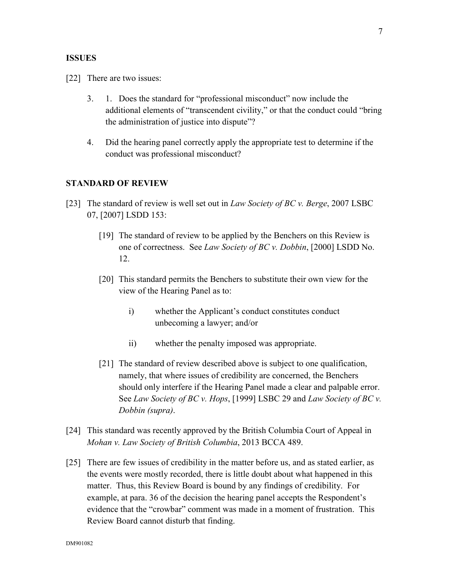#### **ISSUES**

[22] There are two issues:

- 3. 1. Does the standard for "professional misconduct" now include the additional elements of "transcendent civility," or that the conduct could "bring the administration of justice into dispute"?
- 4. Did the hearing panel correctly apply the appropriate test to determine if the conduct was professional misconduct?

#### **STANDARD OF REVIEW**

- [23] The standard of review is well set out in *Law Society of BC v. Berge*, 2007 LSBC 07, [2007] LSDD 153:
	- [19] The standard of review to be applied by the Benchers on this Review is one of correctness. See *Law Society of BC v. Dobbin*, [2000] LSDD No. 12.
	- [20] This standard permits the Benchers to substitute their own view for the view of the Hearing Panel as to:
		- i) whether the Applicant's conduct constitutes conduct unbecoming a lawyer; and/or
		- ii) whether the penalty imposed was appropriate.
	- [21] The standard of review described above is subject to one qualification, namely, that where issues of credibility are concerned, the Benchers should only interfere if the Hearing Panel made a clear and palpable error. See *Law Society of BC v. Hops*, [1999] LSBC 29 and *Law Society of BC v. Dobbin (supra)*.
- [24] This standard was recently approved by the British Columbia Court of Appeal in *Mohan v. Law Society of British Columbia*, 2013 BCCA 489.
- [25] There are few issues of credibility in the matter before us, and as stated earlier, as the events were mostly recorded, there is little doubt about what happened in this matter. Thus, this Review Board is bound by any findings of credibility. For example, at para. 36 of the decision the hearing panel accepts the Respondent's evidence that the "crowbar" comment was made in a moment of frustration. This Review Board cannot disturb that finding.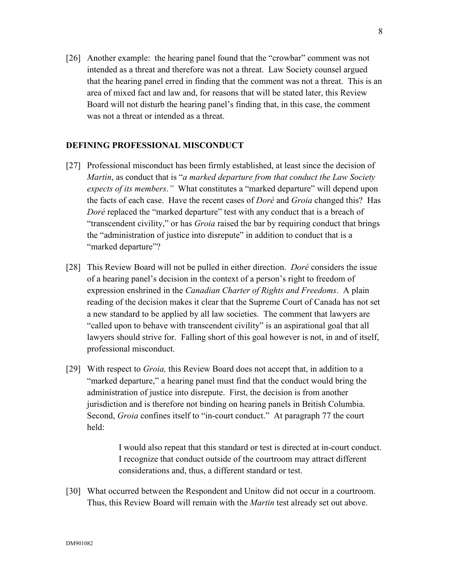[26] Another example: the hearing panel found that the "crowbar" comment was not intended as a threat and therefore was not a threat. Law Society counsel argued that the hearing panel erred in finding that the comment was not a threat. This is an area of mixed fact and law and, for reasons that will be stated later, this Review Board will not disturb the hearing panel's finding that, in this case, the comment was not a threat or intended as a threat.

## **DEFINING PROFESSIONAL MISCONDUCT**

- [27] Professional misconduct has been firmly established, at least since the decision of *Martin*, as conduct that is "*a marked departure from that conduct the Law Society expects of its members*.*"* What constitutes a "marked departure" will depend upon the facts of each case. Have the recent cases of *Doré* and *Groia* changed this? Has *Doré* replaced the "marked departure" test with any conduct that is a breach of "transcendent civility," or has *Groia* raised the bar by requiring conduct that brings the "administration of justice into disrepute" in addition to conduct that is a "marked departure"?
- [28] This Review Board will not be pulled in either direction. *Doré* considers the issue of a hearing panel's decision in the context of a person's right to freedom of expression enshrined in the *Canadian Charter of Rights and Freedoms*. A plain reading of the decision makes it clear that the Supreme Court of Canada has not set a new standard to be applied by all law societies. The comment that lawyers are "called upon to behave with transcendent civility" is an aspirational goal that all lawyers should strive for. Falling short of this goal however is not, in and of itself, professional misconduct.
- [29] With respect to *Groia,* this Review Board does not accept that, in addition to a "marked departure," a hearing panel must find that the conduct would bring the administration of justice into disrepute. First, the decision is from another jurisdiction and is therefore not binding on hearing panels in British Columbia. Second, *Groia* confines itself to "in-court conduct." At paragraph 77 the court held:

I would also repeat that this standard or test is directed at in-court conduct. I recognize that conduct outside of the courtroom may attract different considerations and, thus, a different standard or test.

[30] What occurred between the Respondent and Unitow did not occur in a courtroom. Thus, this Review Board will remain with the *Martin* test already set out above.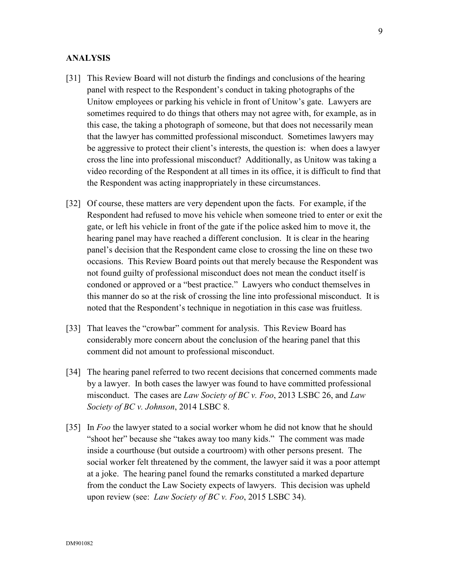#### **ANALYSIS**

- [31] This Review Board will not disturb the findings and conclusions of the hearing panel with respect to the Respondent's conduct in taking photographs of the Unitow employees or parking his vehicle in front of Unitow's gate. Lawyers are sometimes required to do things that others may not agree with, for example, as in this case, the taking a photograph of someone, but that does not necessarily mean that the lawyer has committed professional misconduct. Sometimes lawyers may be aggressive to protect their client's interests, the question is: when does a lawyer cross the line into professional misconduct? Additionally, as Unitow was taking a video recording of the Respondent at all times in its office, it is difficult to find that the Respondent was acting inappropriately in these circumstances.
- [32] Of course, these matters are very dependent upon the facts. For example, if the Respondent had refused to move his vehicle when someone tried to enter or exit the gate, or left his vehicle in front of the gate if the police asked him to move it, the hearing panel may have reached a different conclusion. It is clear in the hearing panel's decision that the Respondent came close to crossing the line on these two occasions. This Review Board points out that merely because the Respondent was not found guilty of professional misconduct does not mean the conduct itself is condoned or approved or a "best practice." Lawyers who conduct themselves in this manner do so at the risk of crossing the line into professional misconduct. It is noted that the Respondent's technique in negotiation in this case was fruitless.
- [33] That leaves the "crowbar" comment for analysis. This Review Board has considerably more concern about the conclusion of the hearing panel that this comment did not amount to professional misconduct.
- [34] The hearing panel referred to two recent decisions that concerned comments made by a lawyer. In both cases the lawyer was found to have committed professional misconduct. The cases are *Law Society of BC v. Foo*, 2013 LSBC 26, and *Law Society of BC v. Johnson*, 2014 LSBC 8.
- [35] In *Foo* the lawyer stated to a social worker whom he did not know that he should "shoot her" because she "takes away too many kids." The comment was made inside a courthouse (but outside a courtroom) with other persons present. The social worker felt threatened by the comment, the lawyer said it was a poor attempt at a joke. The hearing panel found the remarks constituted a marked departure from the conduct the Law Society expects of lawyers. This decision was upheld upon review (see: *Law Society of BC v. Foo*, 2015 LSBC 34).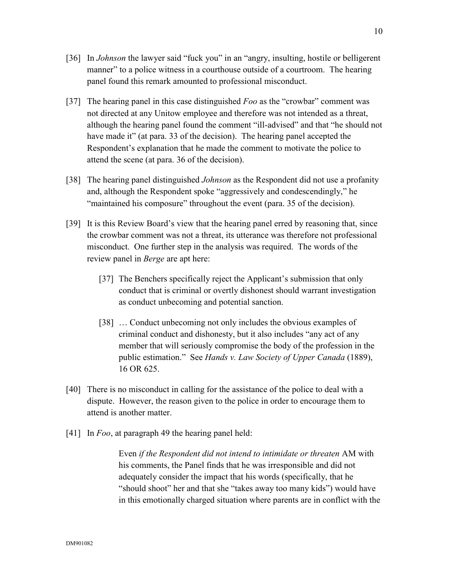- [36] In *Johnson* the lawyer said "fuck you" in an "angry, insulting, hostile or belligerent manner" to a police witness in a courthouse outside of a courtroom. The hearing panel found this remark amounted to professional misconduct.
- [37] The hearing panel in this case distinguished *Foo* as the "crowbar" comment was not directed at any Unitow employee and therefore was not intended as a threat, although the hearing panel found the comment "ill-advised" and that "he should not have made it" (at para. 33 of the decision). The hearing panel accepted the Respondent's explanation that he made the comment to motivate the police to attend the scene (at para. 36 of the decision).
- [38] The hearing panel distinguished *Johnson* as the Respondent did not use a profanity and, although the Respondent spoke "aggressively and condescendingly," he "maintained his composure" throughout the event (para. 35 of the decision).
- [39] It is this Review Board's view that the hearing panel erred by reasoning that, since the crowbar comment was not a threat, its utterance was therefore not professional misconduct. One further step in the analysis was required. The words of the review panel in *Berge* are apt here:
	- [37] The Benchers specifically reject the Applicant's submission that only conduct that is criminal or overtly dishonest should warrant investigation as conduct unbecoming and potential sanction.
	- [38] ... Conduct unbecoming not only includes the obvious examples of criminal conduct and dishonesty, but it also includes "any act of any member that will seriously compromise the body of the profession in the public estimation." See *Hands v. Law Society of Upper Canada* (1889), 16 OR 625.
- [40] There is no misconduct in calling for the assistance of the police to deal with a dispute. However, the reason given to the police in order to encourage them to attend is another matter.
- [41] In *Foo*, at paragraph 49 the hearing panel held:

Even *if the Respondent did not intend to intimidate or threaten* AM with his comments, the Panel finds that he was irresponsible and did not adequately consider the impact that his words (specifically, that he "should shoot" her and that she "takes away too many kids") would have in this emotionally charged situation where parents are in conflict with the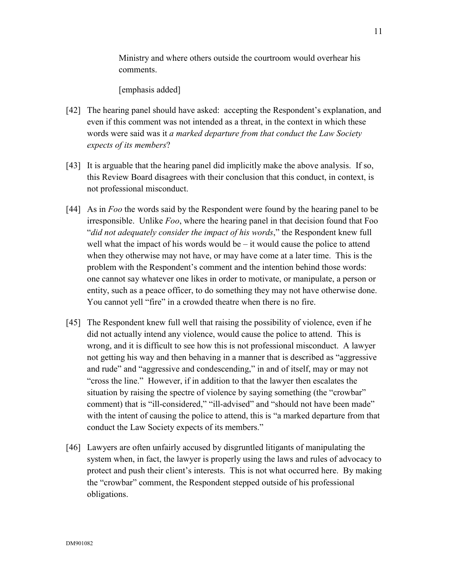Ministry and where others outside the courtroom would overhear his comments.

[emphasis added]

- [42] The hearing panel should have asked: accepting the Respondent's explanation, and even if this comment was not intended as a threat, in the context in which these words were said was it *a marked departure from that conduct the Law Society expects of its members*?
- [43] It is arguable that the hearing panel did implicitly make the above analysis. If so, this Review Board disagrees with their conclusion that this conduct, in context, is not professional misconduct.
- [44] As in *Foo* the words said by the Respondent were found by the hearing panel to be irresponsible. Unlike *Foo*, where the hearing panel in that decision found that Foo "*did not adequately consider the impact of his words*," the Respondent knew full well what the impact of his words would be  $-$  it would cause the police to attend when they otherwise may not have, or may have come at a later time. This is the problem with the Respondent's comment and the intention behind those words: one cannot say whatever one likes in order to motivate, or manipulate, a person or entity, such as a peace officer, to do something they may not have otherwise done. You cannot yell "fire" in a crowded theatre when there is no fire.
- [45] The Respondent knew full well that raising the possibility of violence, even if he did not actually intend any violence, would cause the police to attend. This is wrong, and it is difficult to see how this is not professional misconduct. A lawyer not getting his way and then behaving in a manner that is described as "aggressive and rude" and "aggressive and condescending," in and of itself, may or may not "cross the line." However, if in addition to that the lawyer then escalates the situation by raising the spectre of violence by saying something (the "crowbar" comment) that is "ill-considered," "ill-advised" and "should not have been made" with the intent of causing the police to attend, this is "a marked departure from that conduct the Law Society expects of its members."
- [46] Lawyers are often unfairly accused by disgruntled litigants of manipulating the system when, in fact, the lawyer is properly using the laws and rules of advocacy to protect and push their client's interests. This is not what occurred here. By making the "crowbar" comment, the Respondent stepped outside of his professional obligations.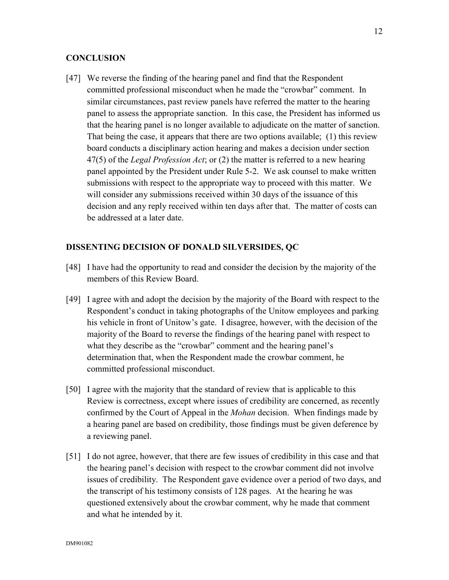# **CONCLUSION**

[47] We reverse the finding of the hearing panel and find that the Respondent committed professional misconduct when he made the "crowbar" comment. In similar circumstances, past review panels have referred the matter to the hearing panel to assess the appropriate sanction. In this case, the President has informed us that the hearing panel is no longer available to adjudicate on the matter of sanction. That being the case, it appears that there are two options available; (1) this review board conducts a disciplinary action hearing and makes a decision under section 47(5) of the *Legal Profession Act*; or (2) the matter is referred to a new hearing panel appointed by the President under Rule 5-2. We ask counsel to make written submissions with respect to the appropriate way to proceed with this matter. We will consider any submissions received within 30 days of the issuance of this decision and any reply received within ten days after that. The matter of costs can be addressed at a later date.

#### **DISSENTING DECISION OF DONALD SILVERSIDES, QC**

- [48] I have had the opportunity to read and consider the decision by the majority of the members of this Review Board.
- [49] I agree with and adopt the decision by the majority of the Board with respect to the Respondent's conduct in taking photographs of the Unitow employees and parking his vehicle in front of Unitow's gate. I disagree, however, with the decision of the majority of the Board to reverse the findings of the hearing panel with respect to what they describe as the "crowbar" comment and the hearing panel's determination that, when the Respondent made the crowbar comment, he committed professional misconduct.
- [50] I agree with the majority that the standard of review that is applicable to this Review is correctness, except where issues of credibility are concerned, as recently confirmed by the Court of Appeal in the *Mohan* decision. When findings made by a hearing panel are based on credibility, those findings must be given deference by a reviewing panel.
- [51] I do not agree, however, that there are few issues of credibility in this case and that the hearing panel's decision with respect to the crowbar comment did not involve issues of credibility. The Respondent gave evidence over a period of two days, and the transcript of his testimony consists of 128 pages. At the hearing he was questioned extensively about the crowbar comment, why he made that comment and what he intended by it.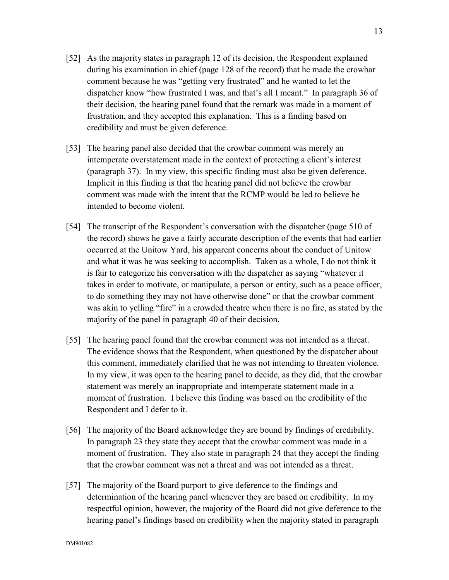- [52] As the majority states in paragraph 12 of its decision, the Respondent explained during his examination in chief (page 128 of the record) that he made the crowbar comment because he was "getting very frustrated" and he wanted to let the dispatcher know "how frustrated I was, and that's all I meant." In paragraph 36 of their decision, the hearing panel found that the remark was made in a moment of frustration, and they accepted this explanation. This is a finding based on credibility and must be given deference.
- [53] The hearing panel also decided that the crowbar comment was merely an intemperate overstatement made in the context of protecting a client's interest (paragraph 37). In my view, this specific finding must also be given deference. Implicit in this finding is that the hearing panel did not believe the crowbar comment was made with the intent that the RCMP would be led to believe he intended to become violent.
- [54] The transcript of the Respondent's conversation with the dispatcher (page 510 of the record) shows he gave a fairly accurate description of the events that had earlier occurred at the Unitow Yard, his apparent concerns about the conduct of Unitow and what it was he was seeking to accomplish. Taken as a whole, I do not think it is fair to categorize his conversation with the dispatcher as saying "whatever it takes in order to motivate, or manipulate, a person or entity, such as a peace officer, to do something they may not have otherwise done" or that the crowbar comment was akin to yelling "fire" in a crowded theatre when there is no fire, as stated by the majority of the panel in paragraph 40 of their decision.
- [55] The hearing panel found that the crowbar comment was not intended as a threat. The evidence shows that the Respondent, when questioned by the dispatcher about this comment, immediately clarified that he was not intending to threaten violence. In my view, it was open to the hearing panel to decide, as they did, that the crowbar statement was merely an inappropriate and intemperate statement made in a moment of frustration. I believe this finding was based on the credibility of the Respondent and I defer to it.
- [56] The majority of the Board acknowledge they are bound by findings of credibility. In paragraph 23 they state they accept that the crowbar comment was made in a moment of frustration. They also state in paragraph 24 that they accept the finding that the crowbar comment was not a threat and was not intended as a threat.
- [57] The majority of the Board purport to give deference to the findings and determination of the hearing panel whenever they are based on credibility. In my respectful opinion, however, the majority of the Board did not give deference to the hearing panel's findings based on credibility when the majority stated in paragraph